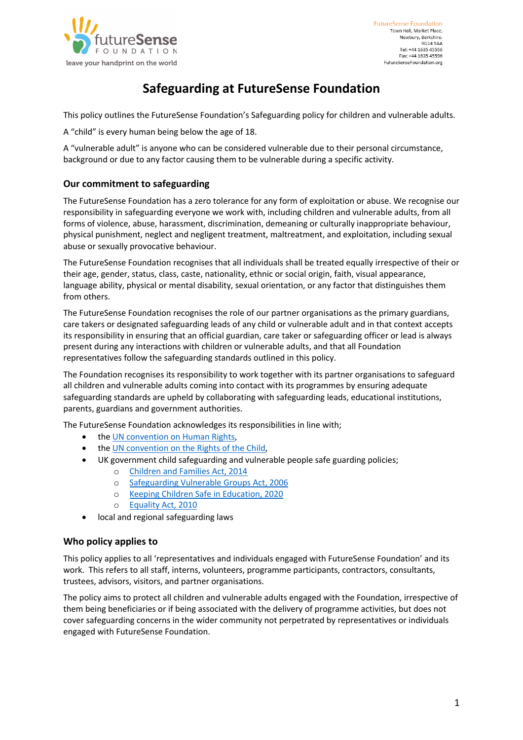

# **Safeguarding at FutureSense Foundation**

This policy outlines the FutureSense Foundation's Safeguarding policy for children and vulnerable adults.

A "child" is every human being below the age of 18.

A "vulnerable adult" is anyone who can be considered vulnerable due to their personal circumstance, background or due to any factor causing them to be vulnerable during a specific activity.

## **Our commitment to safeguarding**

The FutureSense Foundation has a zero tolerance for any form of exploitation or abuse. We recognise our responsibility in safeguarding everyone we work with, including children and vulnerable adults, from all forms of violence, abuse, harassment, discrimination, demeaning or culturally inappropriate behaviour, physical punishment, neglect and negligent treatment, maltreatment, and exploitation, including sexual abuse or sexually provocative behaviour.

The FutureSense Foundation recognises that all individuals shall be treated equally irrespective of their or their age, gender, status, class, caste, nationality, ethnic or social origin, faith, visual appearance, language ability, physical or mental disability, sexual orientation, or any factor that distinguishes them from others.

The FutureSense Foundation recognises the role of our partner organisations as the primary guardians, care takers or designated safeguarding leads of any child or vulnerable adult and in that context accepts its responsibility in ensuring that an official guardian, care taker or safeguarding officer or lead is always present during any interactions with children or vulnerable adults, and that all Foundation representatives follow the safeguarding standards outlined in this policy.

The Foundation recognises its responsibility to work together with its partner organisations to safeguard all children and vulnerable adults coming into contact with its programmes by ensuring adequate safeguarding standards are upheld by collaborating with safeguarding leads, educational institutions, parents, guardians and government authorities.

The FutureSense Foundation acknowledges its responsibilities in line with;

- the UN convention on Human Rights,
- the UN convention on the Rights of the Child,
- UK government child safeguarding and vulnerable people safe guarding policies;
	- o Children and Families Act, 2014
		- o Safeguarding Vulnerable Groups Act, 2006
		- o Keeping Children Safe in Education, 2020
		- o Equality Act, 2010
- local and regional safeguarding laws

## **Who policy applies to**

This policy applies to all 'representatives and individuals engaged with FutureSense Foundation' and its work. This refers to all staff, interns, volunteers, programme participants, contractors, consultants, trustees, advisors, visitors, and partner organisations.

The policy aims to protect all children and vulnerable adults engaged with the Foundation, irrespective of them being beneficiaries or if being associated with the delivery of programme activities, but does not cover safeguarding concerns in the wider community not perpetrated by representatives or individuals engaged with FutureSense Foundation.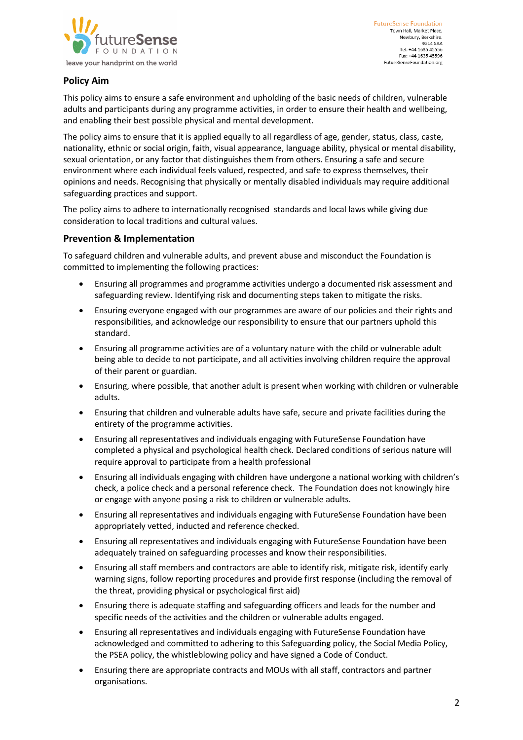

**FutureSense Foundation** Town Hall, Market Place, Newbury, Berkshire. **RG14 5AA** Tel: +44 1635 45556 Fax: +44 1635 45596 FutureSenseFoundation.org

# **Policy Aim**

This policy aims to ensure a safe environment and upholding of the basic needs of children, vulnerable adults and participants during any programme activities, in order to ensure their health and wellbeing, and enabling their best possible physical and mental development.

The policy aims to ensure that it is applied equally to all regardless of age, gender, status, class, caste, nationality, ethnic or social origin, faith, visual appearance, language ability, physical or mental disability, sexual orientation, or any factor that distinguishes them from others. Ensuring a safe and secure environment where each individual feels valued, respected, and safe to express themselves, their opinions and needs. Recognising that physically or mentally disabled individuals may require additional safeguarding practices and support.

The policy aims to adhere to internationally recognised standards and local laws while giving due consideration to local traditions and cultural values.

## **Prevention & Implementation**

To safeguard children and vulnerable adults, and prevent abuse and misconduct the Foundation is committed to implementing the following practices:

- Ensuring all programmes and programme activities undergo a documented risk assessment and safeguarding review. Identifying risk and documenting steps taken to mitigate the risks.
- Ensuring everyone engaged with our programmes are aware of our policies and their rights and responsibilities, and acknowledge our responsibility to ensure that our partners uphold this standard.
- Ensuring all programme activities are of a voluntary nature with the child or vulnerable adult being able to decide to not participate, and all activities involving children require the approval of their parent or guardian.
- Ensuring, where possible, that another adult is present when working with children or vulnerable adults.
- Ensuring that children and vulnerable adults have safe, secure and private facilities during the entirety of the programme activities.
- Ensuring all representatives and individuals engaging with FutureSense Foundation have completed a physical and psychological health check. Declared conditions of serious nature will require approval to participate from a health professional
- Ensuring all individuals engaging with children have undergone a national working with children's check, a police check and a personal reference check. The Foundation does not knowingly hire or engage with anyone posing a risk to children or vulnerable adults.
- Ensuring all representatives and individuals engaging with FutureSense Foundation have been appropriately vetted, inducted and reference checked.
- Ensuring all representatives and individuals engaging with FutureSense Foundation have been adequately trained on safeguarding processes and know their responsibilities.
- Ensuring all staff members and contractors are able to identify risk, mitigate risk, identify early warning signs, follow reporting procedures and provide first response (including the removal of the threat, providing physical or psychological first aid)
- Ensuring there is adequate staffing and safeguarding officers and leads for the number and specific needs of the activities and the children or vulnerable adults engaged.
- Ensuring all representatives and individuals engaging with FutureSense Foundation have acknowledged and committed to adhering to this Safeguarding policy, the Social Media Policy, the PSEA policy, the whistleblowing policy and have signed a Code of Conduct.
- Ensuring there are appropriate contracts and MOUs with all staff, contractors and partner organisations.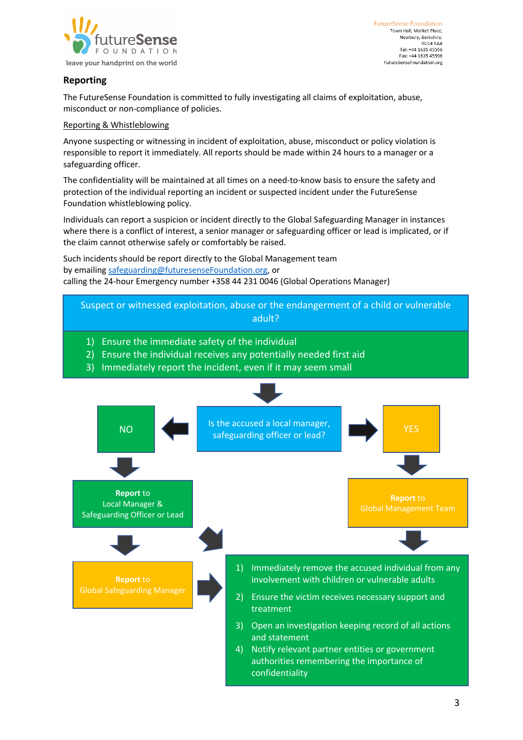

## **Reporting**

The FutureSense Foundation is committed to fully investigating all claims of exploitation, abuse, misconduct or non-compliance of policies.

## Reporting & Whistleblowing

Anyone suspecting or witnessing in incident of exploitation, abuse, misconduct or policy violation is responsible to report it immediately. All reports should be made within 24 hours to a manager or a safeguarding officer.

The confidentiality will be maintained at all times on a need-to-know basis to ensure the safety and protection of the individual reporting an incident or suspected incident under the FutureSense Foundation whistleblowing policy.

Individuals can report a suspicion or incident directly to the Global Safeguarding Manager in instances where there is a conflict of interest, a senior manager or safeguarding officer or lead is implicated, or if the claim cannot otherwise safely or comfortably be raised.

Such incidents should be report directly to the Global Management team by emailing safeguarding@futuresenseFoundation.org, or calling the 24-hour Emergency number +358 44 231 0046 (Global Operations Manager)

- Suspect or witnessed exploitation, abuse or the endangerment of a child or vulnerable adult?
	- 1) Ensure the immediate safety of the individual
	- 2) Ensure the individual receives any potentially needed first aid
	- 3) Immediately report the incident, even if it may seem small